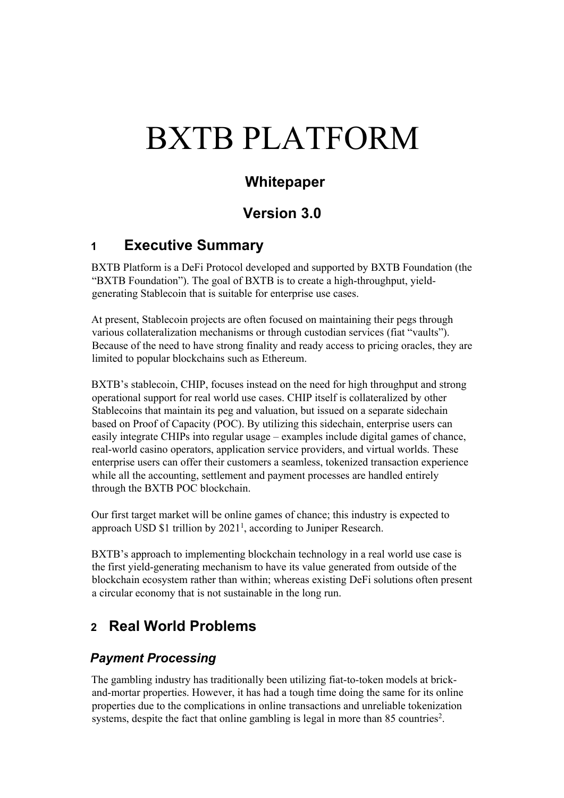# BXTB PLATFORM

# **Whitepaper**

# **Version 3.0**

## **1 Executive Summary**

BXTB Platform is a DeFi Protocol developed and supported by BXTB Foundation (the "BXTB Foundation"). The goal of BXTB is to create a high-throughput, yieldgenerating Stablecoin that is suitable for enterprise use cases.

At present, Stablecoin projects are often focused on maintaining their pegs through various collateralization mechanisms or through custodian services (fiat "vaults"). Because of the need to have strong finality and ready access to pricing oracles, they are limited to popular blockchains such as Ethereum.

BXTB's stablecoin, CHIP, focuses instead on the need for high throughput and strong operational support for real world use cases. CHIP itself is collateralized by other Stablecoins that maintain its peg and valuation, but issued on a separate sidechain based on Proof of Capacity (POC). By utilizing this sidechain, enterprise users can easily integrate CHIPs into regular usage – examples include digital games of chance, real-world casino operators, application service providers, and virtual worlds. These enterprise users can offer their customers a seamless, tokenized transaction experience while all the accounting, settlement and payment processes are handled entirely through the BXTB POC blockchain.

Our first target market will be online games of chance; this industry is expected to approach USD  $$1$  trillion by 2021<sup>1</sup>, according to Juniper Research.

BXTB's approach to implementing blockchain technology in a real world use case is the first yield-generating mechanism to have its value generated from outside of the blockchain ecosystem rather than within; whereas existing DeFi solutions often present a circular economy that is not sustainable in the long run.

# **2 Real World Problems**

## *Payment Processing*

The gambling industry has traditionally been utilizing fiat-to-token models at brickand-mortar properties. However, it has had a tough time doing the same for its online properties due to the complications in online transactions and unreliable tokenization systems, despite the fact that online gambling is legal in more than  $85$  countries<sup>2</sup>.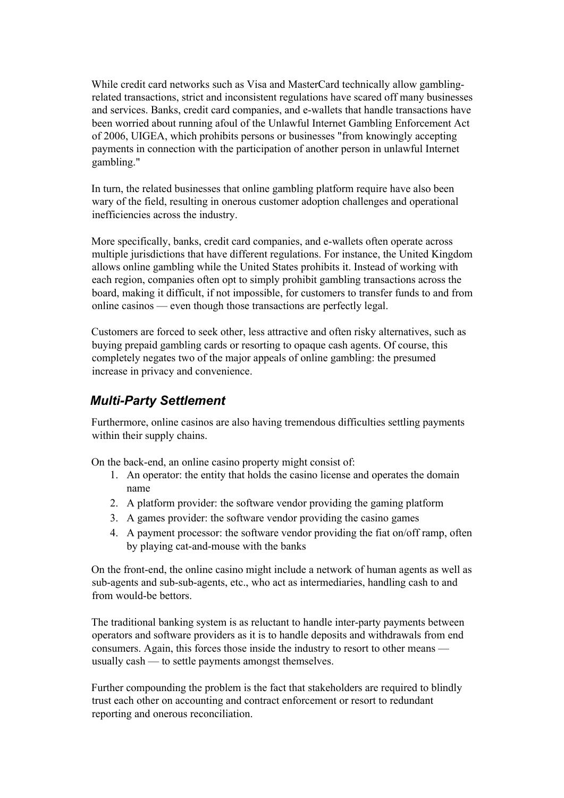While credit card networks such as Visa and MasterCard technically allow gamblingrelated transactions, strict and inconsistent regulations have scared off many businesses and services. Banks, credit card companies, and e-wallets that handle transactions have been worried about running afoul of the Unlawful Internet Gambling Enforcement Act of 2006, UIGEA, which prohibits persons or businesses "from knowingly accepting payments in connection with the participation of another person in unlawful Internet gambling."

In turn, the related businesses that online gambling platform require have also been wary of the field, resulting in onerous customer adoption challenges and operational inefficiencies across the industry.

More specifically, banks, credit card companies, and e-wallets often operate across multiple jurisdictions that have different regulations. For instance, the United Kingdom allows online gambling while the United States prohibits it. Instead of working with each region, companies often opt to simply prohibit gambling transactions across the board, making it difficult, if not impossible, for customers to transfer funds to and from online casinos — even though those transactions are perfectly legal.

Customers are forced to seek other, less attractive and often risky alternatives, such as buying prepaid gambling cards or resorting to opaque cash agents. Of course, this completely negates two of the major appeals of online gambling: the presumed increase in privacy and convenience.

## *Multi-Party Settlement*

Furthermore, online casinos are also having tremendous difficulties settling payments within their supply chains.

On the back-end, an online casino property might consist of:

- 1. An operator: the entity that holds the casino license and operates the domain name
- 2. A platform provider: the software vendor providing the gaming platform
- 3. A games provider: the software vendor providing the casino games
- 4. A payment processor: the software vendor providing the fiat on/off ramp, often by playing cat-and-mouse with the banks

On the front-end, the online casino might include a network of human agents as well as sub-agents and sub-sub-agents, etc., who act as intermediaries, handling cash to and from would-be bettors.

The traditional banking system is as reluctant to handle inter-party payments between operators and software providers as it is to handle deposits and withdrawals from end consumers. Again, this forces those inside the industry to resort to other means usually cash — to settle payments amongst themselves.

Further compounding the problem is the fact that stakeholders are required to blindly trust each other on accounting and contract enforcement or resort to redundant reporting and onerous reconciliation.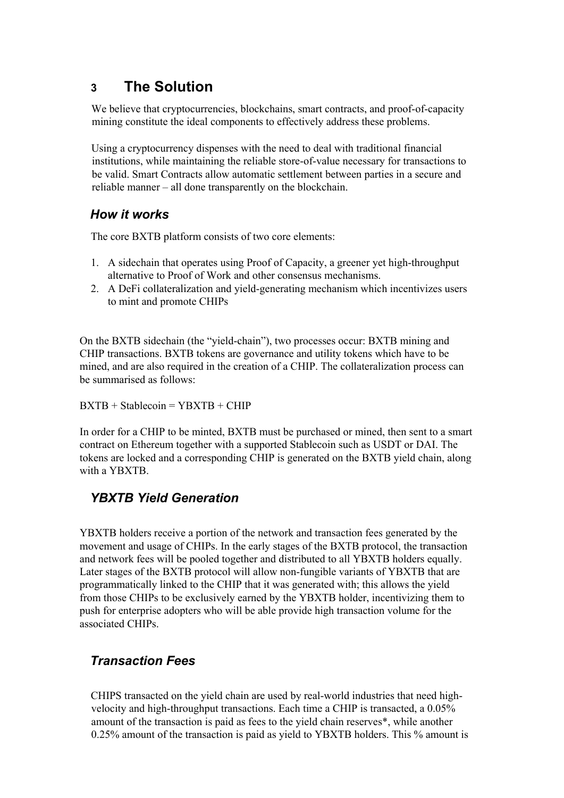# **3 The Solution**

We believe that cryptocurrencies, blockchains, smart contracts, and proof-of-capacity mining constitute the ideal components to effectively address these problems.

Using a cryptocurrency dispenses with the need to deal with traditional financial institutions, while maintaining the reliable store-of-value necessary for transactions to be valid. Smart Contracts allow automatic settlement between parties in a secure and reliable manner – all done transparently on the blockchain.

## *How it works*

The core BXTB platform consists of two core elements:

- 1. A sidechain that operates using Proof of Capacity, a greener yet high-throughput alternative to Proof of Work and other consensus mechanisms.
- 2. A DeFi collateralization and yield-generating mechanism which incentivizes users to mint and promote CHIPs

On the BXTB sidechain (the "yield-chain"), two processes occur: BXTB mining and CHIP transactions. BXTB tokens are governance and utility tokens which have to be mined, and are also required in the creation of a CHIP. The collateralization process can be summarised as follows:

 $BXTB + Stablecoin = YBXTB + CHIP$ 

In order for a CHIP to be minted, BXTB must be purchased or mined, then sent to a smart contract on Ethereum together with a supported Stablecoin such as USDT or DAI. The tokens are locked and a corresponding CHIP is generated on the BXTB yield chain, along with a YBXTB.

## *YBXTB Yield Generation*

YBXTB holders receive a portion of the network and transaction fees generated by the movement and usage of CHIPs. In the early stages of the BXTB protocol, the transaction and network fees will be pooled together and distributed to all YBXTB holders equally. Later stages of the BXTB protocol will allow non-fungible variants of YBXTB that are programmatically linked to the CHIP that it was generated with; this allows the yield from those CHIPs to be exclusively earned by the YBXTB holder, incentivizing them to push for enterprise adopters who will be able provide high transaction volume for the associated CHIPs.

## *Transaction Fees*

CHIPS transacted on the yield chain are used by real-world industries that need highvelocity and high-throughput transactions. Each time a CHIP is transacted, a 0.05% amount of the transaction is paid as fees to the yield chain reserves\*, while another 0.25% amount of the transaction is paid as yield to YBXTB holders. This % amount is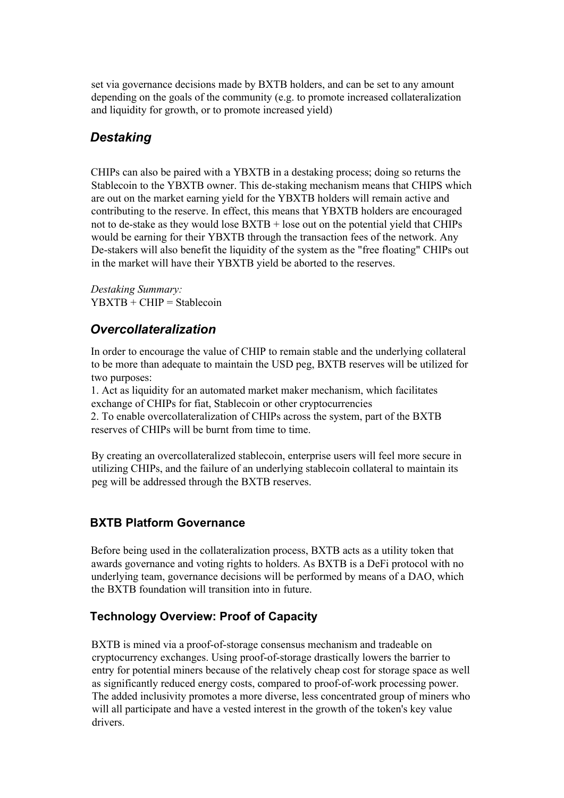set via governance decisions made by BXTB holders, and can be set to any amount depending on the goals of the community (e.g. to promote increased collateralization and liquidity for growth, or to promote increased yield)

## *Destaking*

CHIPs can also be paired with a YBXTB in a destaking process; doing so returns the Stablecoin to the YBXTB owner. This de-staking mechanism means that CHIPS which are out on the market earning yield for the YBXTB holders will remain active and contributing to the reserve. In effect, this means that YBXTB holders are encouraged not to de-stake as they would lose BXTB + lose out on the potential yield that CHIPs would be earning for their YBXTB through the transaction fees of the network. Any De-stakers will also benefit the liquidity of the system as the "free floating" CHIPs out in the market will have their YBXTB yield be aborted to the reserves.

*Destaking Summary:*  $YBXTB + CHIP = Stablecoin$ 

## *Overcollateralization*

In order to encourage the value of CHIP to remain stable and the underlying collateral to be more than adequate to maintain the USD peg, BXTB reserves will be utilized for two purposes:

1. Act as liquidity for an automated market maker mechanism, which facilitates exchange of CHIPs for fiat, Stablecoin or other cryptocurrencies 2. To enable overcollateralization of CHIPs across the system, part of the BXTB reserves of CHIPs will be burnt from time to time.

By creating an overcollateralized stablecoin, enterprise users will feel more secure in utilizing CHIPs, and the failure of an underlying stablecoin collateral to maintain its peg will be addressed through the BXTB reserves.

#### **BXTB Platform Governance**

Before being used in the collateralization process, BXTB acts as a utility token that awards governance and voting rights to holders. As BXTB is a DeFi protocol with no underlying team, governance decisions will be performed by means of a DAO, which the BXTB foundation will transition into in future.

#### **Technology Overview: Proof of Capacity**

BXTB is mined via a proof-of-storage consensus mechanism and tradeable on cryptocurrency exchanges. Using proof-of-storage drastically lowers the barrier to entry for potential miners because of the relatively cheap cost for storage space as well as significantly reduced energy costs, compared to proof-of-work processing power. The added inclusivity promotes a more diverse, less concentrated group of miners who will all participate and have a vested interest in the growth of the token's key value drivers.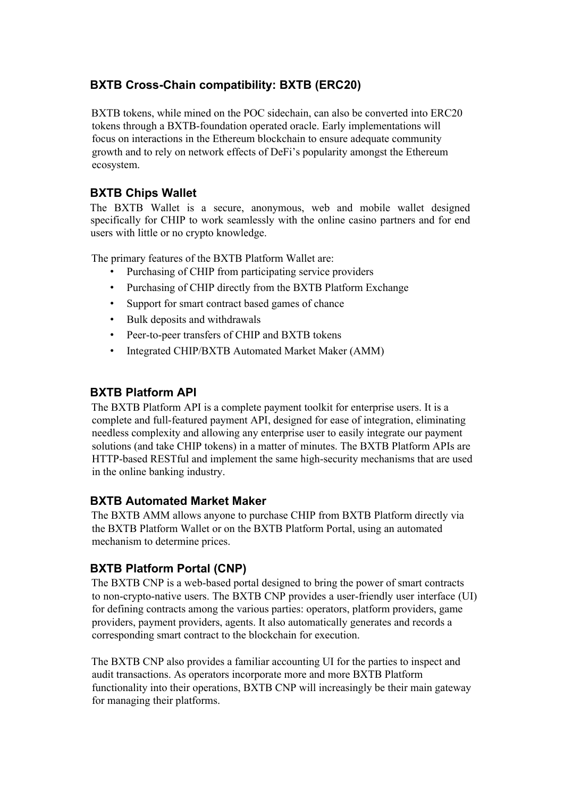## **BXTB Cross-Chain compatibility: BXTB (ERC20)**

BXTB tokens, while mined on the POC sidechain, can also be converted into ERC20 tokens through a BXTB-foundation operated oracle. Early implementations will focus on interactions in the Ethereum blockchain to ensure adequate community growth and to rely on network effects of DeFi's popularity amongst the Ethereum ecosystem.

### **BXTB Chips Wallet**

The BXTB Wallet is a secure, anonymous, web and mobile wallet designed specifically for CHIP to work seamlessly with the online casino partners and for end users with little or no crypto knowledge.

The primary features of the BXTB Platform Wallet are:

- Purchasing of CHIP from participating service providers
- Purchasing of CHIP directly from the BXTB Platform Exchange
- Support for smart contract based games of chance
- Bulk deposits and withdrawals
- Peer-to-peer transfers of CHIP and BXTB tokens
- Integrated CHIP/BXTB Automated Market Maker (AMM)

#### **BXTB Platform API**

The BXTB Platform API is a complete payment toolkit for enterprise users. It is a complete and full-featured payment API, designed for ease of integration, eliminating needless complexity and allowing any enterprise user to easily integrate our payment solutions (and take CHIP tokens) in a matter of minutes. The BXTB Platform APIs are HTTP-based RESTful and implement the same high-security mechanisms that are used in the online banking industry.

#### **BXTB Automated Market Maker**

The BXTB AMM allows anyone to purchase CHIP from BXTB Platform directly via the BXTB Platform Wallet or on the BXTB Platform Portal, using an automated mechanism to determine prices.

#### **BXTB Platform Portal (CNP)**

The BXTB CNP is a web-based portal designed to bring the power of smart contracts to non-crypto-native users. The BXTB CNP provides a user-friendly user interface (UI) for defining contracts among the various parties: operators, platform providers, game providers, payment providers, agents. It also automatically generates and records a corresponding smart contract to the blockchain for execution.

The BXTB CNP also provides a familiar accounting UI for the parties to inspect and audit transactions. As operators incorporate more and more BXTB Platform functionality into their operations, BXTB CNP will increasingly be their main gateway for managing their platforms.